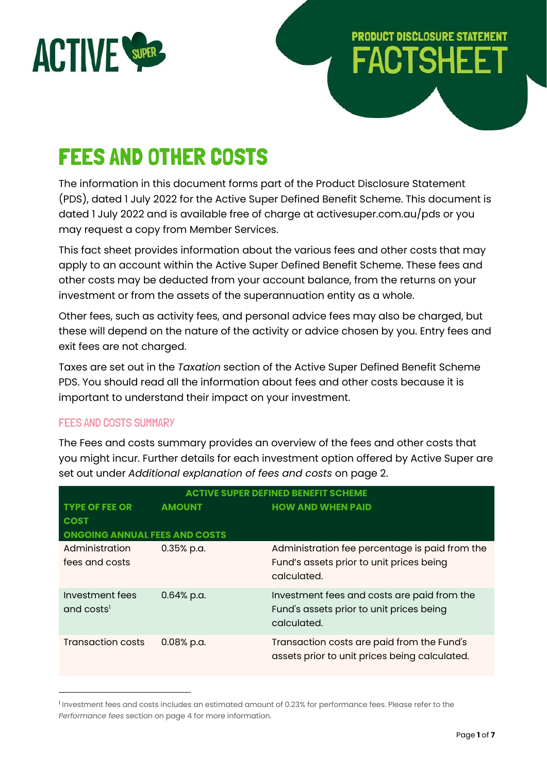

# **PRODUCT DISCLOSURE STATEMENT FACTSHEET**

## FEES AND OTHER COSTS

The information in this document forms part of the Product Disclosure Statement (PDS), dated 1 July 2022 for the Active Super Defined Benefit Scheme. This document is dated 1 July 2022 and is available free of charge at activesuper.com.au/pds or you may request a copy from Member Services.

This fact sheet provides information about the various fees and other costs that may apply to an account within the Active Super Defined Benefit Scheme. These fees and other costs may be deducted from your account balance, from the returns on your investment or from the assets of the superannuation entity as a whole.

Other fees, such as activity fees, and personal advice fees may also be charged, but these will depend on the nature of the activity or advice chosen by you. Entry fees and exit fees are not charged.

Taxes are set out in the *Taxation* section of the Active Super Defined Benefit Scheme PDS. You should read all the information about fees and other costs because it is important to understand their impact on your investment.

## FEES AND COSTS SUMMARY

The Fees and costs summary provides an overview of the fees and other costs that you might incur. Further details for each investment option offered by Active Super are set out under *Additional explanation of fees and costs* on page 2.

| <b>ACTIVE SUPER DEFINED BENEFIT SCHEME</b>                               |               |                                                                                                           |  |  |
|--------------------------------------------------------------------------|---------------|-----------------------------------------------------------------------------------------------------------|--|--|
| <b>TYPE OF FEE OR</b><br><b>COST</b>                                     | <b>AMOUNT</b> | <b>HOW AND WHEN PAID</b>                                                                                  |  |  |
| <b>ONGOING ANNUAL FEES AND COSTS</b><br>Administration<br>fees and costs | $0.35%$ p.a.  | Administration fee percentage is paid from the<br>Fund's assets prior to unit prices being<br>calculated. |  |  |
| Investment fees<br>and costs <sup>1</sup>                                | $0.64%$ p.a.  | Investment fees and costs are paid from the<br>Fund's assets prior to unit prices being<br>calculated.    |  |  |
| Transaction costs                                                        | $0.08%$ p.a.  | Transaction costs are paid from the Fund's<br>assets prior to unit prices being calculated.               |  |  |

<sup>1</sup> Investment fees and costs includes an estimated amount of 0.23% for performance fees. Please refer to the *Performance fees* section on page 4 for more information.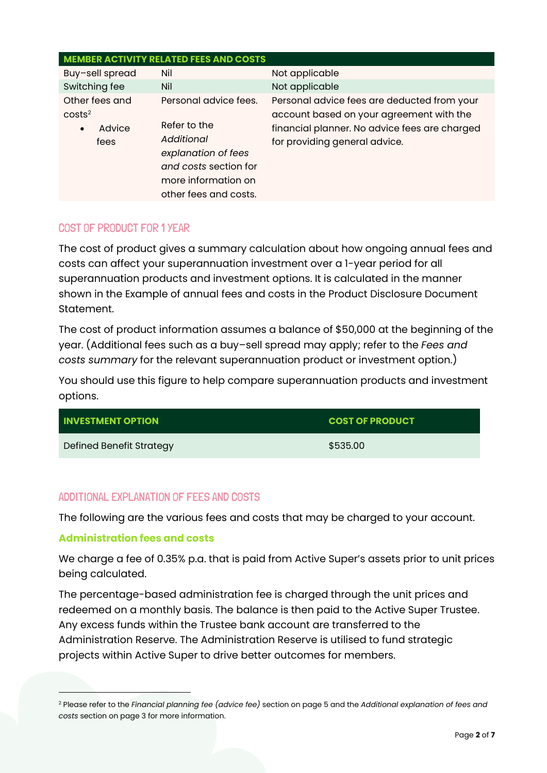| <b>MEMBER ACTIVITY RELATED FEES AND COSTS</b>                       |                                                                                                                                                     |                                                                                                                                                                           |  |  |  |  |
|---------------------------------------------------------------------|-----------------------------------------------------------------------------------------------------------------------------------------------------|---------------------------------------------------------------------------------------------------------------------------------------------------------------------------|--|--|--|--|
| Buy-sell spread                                                     | Nil                                                                                                                                                 | Not applicable                                                                                                                                                            |  |  |  |  |
| Switching fee                                                       | Nil                                                                                                                                                 | Not applicable                                                                                                                                                            |  |  |  |  |
| Other fees and<br>costs <sup>2</sup><br>Advice<br>$\bullet$<br>fees | Personal advice fees.<br>Refer to the<br>Additional<br>explanation of fees<br>and costs section for<br>more information on<br>other fees and costs. | Personal advice fees are deducted from your<br>account based on your agreement with the<br>financial planner. No advice fees are charged<br>for providing general advice. |  |  |  |  |

## COST OF PRODUCT FOR 1 YEAR

The cost of product gives a summary calculation about how ongoing annual fees and costs can affect your superannuation investment over a 1-year period for all superannuation products and investment options. It is calculated in the manner shown in the Example of annual fees and costs in the Product Disclosure Document Statement.

The cost of product information assumes a balance of \$50,000 at the beginning of the year. (Additional fees such as a buy–sell spread may apply; refer to the *Fees and costs summary* for the relevant superannuation product or investment option.)

You should use this figure to help compare superannuation products and investment options.

| <b>INVESTMENT OPTION</b> | <b>COST OF PRODUCT</b> |
|--------------------------|------------------------|
| Defined Benefit Strategy | \$535.00               |

## ADDITIONAL EXPLANATION OF FEES AND COSTS

The following are the various fees and costs that may be charged to your account.

## **Administration fees and costs**

We charge a fee of 0.35% p.a. that is paid from Active Super's assets prior to unit prices being calculated.

The percentage-based administration fee is charged through the unit prices and redeemed on a monthly basis. The balance is then paid to the Active Super Trustee. Any excess funds within the Trustee bank account are transferred to the Administration Reserve. The Administration Reserve is utilised to fund strategic projects within Active Super to drive better outcomes for members.

<sup>2</sup> Please refer to the *Financial planning fee (advice fee)* section on page 5 and the *Additional explanation of fees and costs* section on page 3 for more information.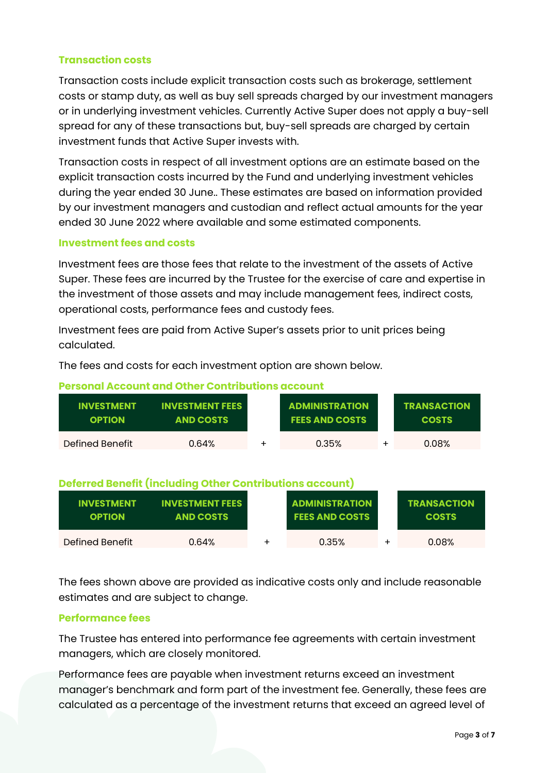## **Transaction costs**

Transaction costs include explicit transaction costs such as brokerage, settlement costs or stamp duty, as well as buy sell spreads charged by our investment managers or in underlying investment vehicles. Currently Active Super does not apply a buy-sell spread for any of these transactions but, buy-sell spreads are charged by certain investment funds that Active Super invests with.

Transaction costs in respect of all investment options are an estimate based on the explicit transaction costs incurred by the Fund and underlying investment vehicles during the year ended 30 June.. These estimates are based on information provided by our investment managers and custodian and reflect actual amounts for the year ended 30 June 2022 where available and some estimated components.

## **Investment fees and costs**

Investment fees are those fees that relate to the investment of the assets of Active Super. These fees are incurred by the Trustee for the exercise of care and expertise in the investment of those assets and may include management fees, indirect costs, operational costs, performance fees and custody fees.

Investment fees are paid from Active Super's assets prior to unit prices being calculated.

The fees and costs for each investment option are shown below.

| Personal Account and Other Contributions account |                                            |  |                                                |  |                                    |
|--------------------------------------------------|--------------------------------------------|--|------------------------------------------------|--|------------------------------------|
| <b>INVESTMENT</b><br><b>OPTION</b>               | <b>INVESTMENT FEES</b><br><b>AND COSTS</b> |  | <b>ADMINISTRATION</b><br><b>FEES AND COSTS</b> |  | <b>TRANSACTION</b><br><b>COSTS</b> |
| Defined Benefit                                  | 0.64%                                      |  | 0.35%                                          |  | 0.08%                              |

## **Personal Account and Other Contributions account**

## **Deferred Benefit (including Other Contributions account)**

| <b>INVESTMENT</b><br><b>OPTION</b> | <b>INVESTMENT FEES</b><br><b>AND COSTS</b> | <b>ADMINISTRATION</b><br><b>FEES AND COSTS</b> | <b>TRANSACTION</b><br><b>COSTS</b> |
|------------------------------------|--------------------------------------------|------------------------------------------------|------------------------------------|
| Defined Benefit                    | 0.64%                                      | 0.35%                                          | 0.08%                              |

The fees shown above are provided as indicative costs only and include reasonable estimates and are subject to change.

## **Performance fees**

The Trustee has entered into performance fee agreements with certain investment managers, which are closely monitored.

Performance fees are payable when investment returns exceed an investment manager's benchmark and form part of the investment fee. Generally, these fees are calculated as a percentage of the investment returns that exceed an agreed level of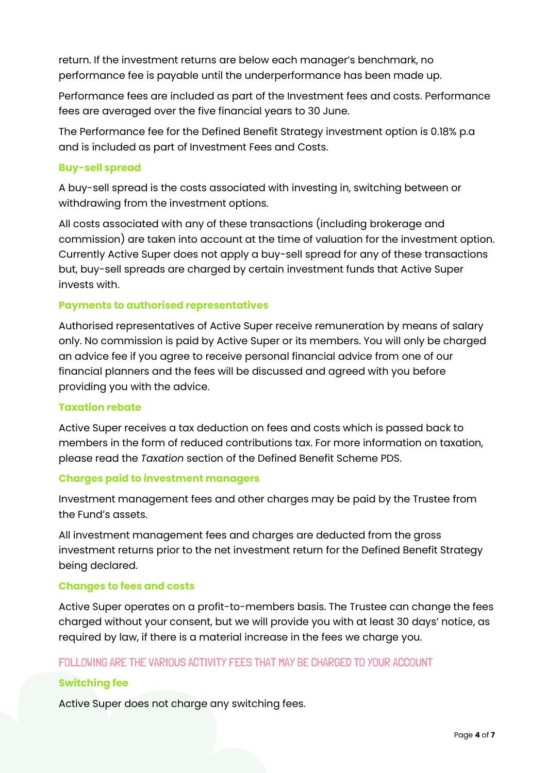return. If the investment returns are below each manager's benchmark, no performance fee is payable until the underperformance has been made up.

Performance fees are included as part of the Investment fees and costs. Performance fees are averaged over the five financial years to 30 June.

The Performance fee for the Defined Benefit Strategy investment option is 0.18% p.a and is included as part of Investment Fees and Costs.

## **Buy-sell spread**

A buy-sell spread is the costs associated with investing in, switching between or withdrawing from the investment options.

All costs associated with any of these transactions (including brokerage and commission) are taken into account at the time of valuation for the investment option. Currently Active Super does not apply a buy-sell spread for any of these transactions but, buy-sell spreads are charged by certain investment funds that Active Super invests with.

## **Payments to authorised representatives**

Authorised representatives of Active Super receive remuneration by means of salary only. No commission is paid by Active Super or its members. You will only be charged an advice fee if you agree to receive personal financial advice from one of our financial planners and the fees will be discussed and agreed with you before providing you with the advice.

#### **Taxation rebate**

Active Super receives a tax deduction on fees and costs which is passed back to members in the form of reduced contributions tax. For more information on taxation, please read the *Taxation* section of the Defined Benefit Scheme PDS.

#### **Charges paid to investment managers**

Investment management fees and other charges may be paid by the Trustee from the Fund's assets.

All investment management fees and charges are deducted from the gross investment returns prior to the net investment return for the Defined Benefit Strategy being declared.

## **Changes to fees and costs**

Active Super operates on a profit-to-members basis. The Trustee can change the fees charged without your consent, but we will provide you with at least 30 days' notice, as required by law, if there is a material increase in the fees we charge you.

## FOLLOWING ARE THE VARIOUS ACTIVITY FEES THAT MAY BE CHARGED TO YOUR ACCOUNT

## **Switching fee**

Active Super does not charge any switching fees.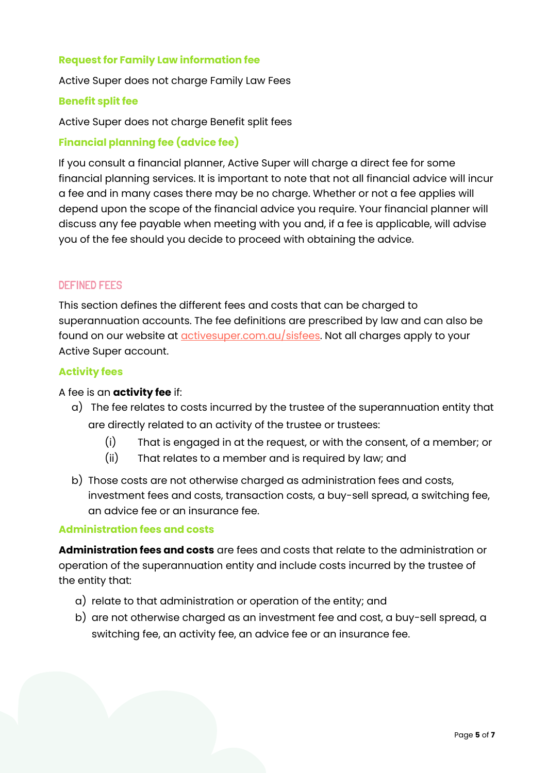## **Request for Family Law information fee**

Active Super does not charge Family Law Fees

#### **Benefit split fee**

Active Super does not charge Benefit split fees

## **Financial planning fee (advice fee)**

If you consult a financial planner, Active Super will charge a direct fee for some financial planning services. It is important to note that not all financial advice will incur a fee and in many cases there may be no charge. Whether or not a fee applies will depend upon the scope of the financial advice you require. Your financial planner will discuss any fee payable when meeting with you and, if a fee is applicable, will advise you of the fee should you decide to proceed with obtaining the advice.

## DEFINED FEES

This section defines the different fees and costs that can be charged to superannuation accounts. The fee definitions are prescribed by law and can also be found on our website at **activesuper.com.au/sisfees**. Not all charges apply to your Active Super account.

## **Activity fees**

#### A fee is an **activity fee** if:

- a) The fee relates to costs incurred by the trustee of the superannuation entity that are directly related to an activity of the trustee or trustees:
	- (i) That is engaged in at the request, or with the consent, of a member; or
	- (ii) That relates to a member and is required by law; and
- b) Those costs are not otherwise charged as administration fees and costs, investment fees and costs, transaction costs, a buy-sell spread, a switching fee, an advice fee or an insurance fee.

#### **Administration fees and costs**

**Administration fees and costs** are fees and costs that relate to the administration or operation of the superannuation entity and include costs incurred by the trustee of the entity that:

- a) relate to that administration or operation of the entity; and
- b) are not otherwise charged as an investment fee and cost, a buy-sell spread, a switching fee, an activity fee, an advice fee or an insurance fee.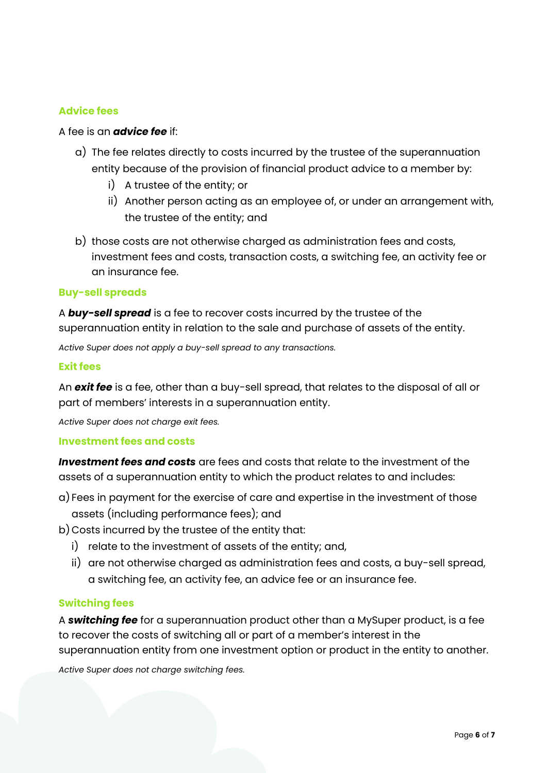## **Advice fees**

#### A fee is an *advice fee* if:

- a) The fee relates directly to costs incurred by the trustee of the superannuation entity because of the provision of financial product advice to a member by:
	- i) A trustee of the entity; or
	- ii) Another person acting as an employee of, or under an arrangement with, the trustee of the entity; and
- b) those costs are not otherwise charged as administration fees and costs, investment fees and costs, transaction costs, a switching fee, an activity fee or an insurance fee.

#### **Buy-sell spreads**

A *buy-sell spread* is a fee to recover costs incurred by the trustee of the superannuation entity in relation to the sale and purchase of assets of the entity.

*Active Super does not apply a buy-sell spread to any transactions.*

#### **Exit fees**

An *exit fee* is a fee, other than a buy-sell spread, that relates to the disposal of all or part of members' interests in a superannuation entity.

*Active Super does not charge exit fees.*

#### **Investment fees and costs**

*Investment fees and costs* are fees and costs that relate to the investment of the assets of a superannuation entity to which the product relates to and includes:

- a) Fees in payment for the exercise of care and expertise in the investment of those assets (including performance fees); and
- b) Costs incurred by the trustee of the entity that:
	- i) relate to the investment of assets of the entity; and,
	- ii) are not otherwise charged as administration fees and costs, a buy-sell spread, a switching fee, an activity fee, an advice fee or an insurance fee.

#### **Switching fees**

A *switching fee* for a superannuation product other than a MySuper product, is a fee to recover the costs of switching all or part of a member's interest in the superannuation entity from one investment option or product in the entity to another.

*Active Super does not charge switching fees.*